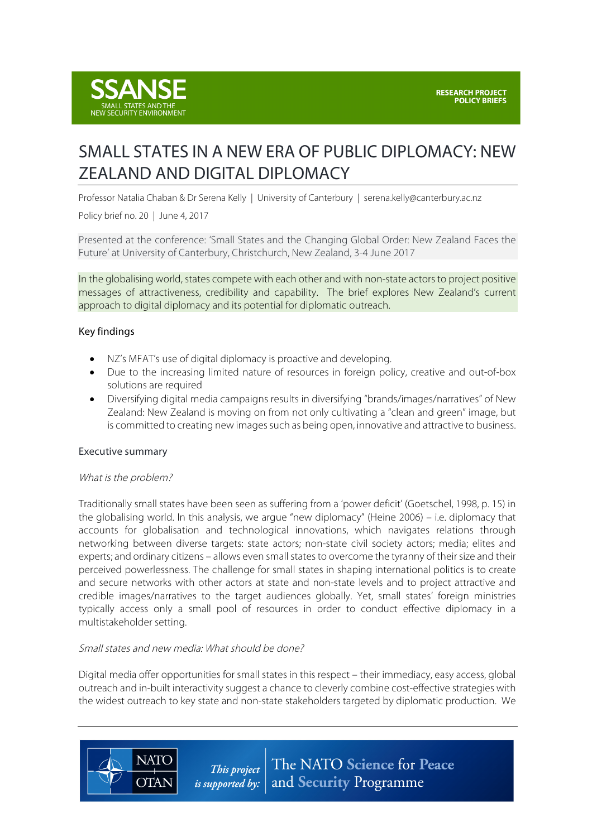

# SMALL STATES IN A NEW ERA OF PUBLIC DIPLOMACY: NEW ZEALAND AND DIGITAL DIPLOMACY

Professor Natalia Chaban & Dr Serena Kelly | University of Canterbury | serena.kelly@canterbury.ac.nz

Policy brief no. 20 | June 4, 2017

Presented at the conference: 'Small States and the Changing Global Order: New Zealand Faces the Future' at University of Canterbury, Christchurch, New Zealand, 3-4 June 2017

In the globalising world, states compete with each other and with non-state actors to project positive messages of attractiveness, credibility and capability. The brief explores New Zealand's current approach to digital diplomacy and its potential for diplomatic outreach.

### Key findings

- NZ's MFAT's use of digital diplomacy is proactive and developing.
- Due to the increasing limited nature of resources in foreign policy, creative and out-of-box solutions are required
- Diversifying digital media campaigns results in diversifying "brands/images/narratives" of New Zealand: New Zealand is moving on from not only cultivating a "clean and green" image, but is committed to creating new images such as being open, innovative and attractive to business.

#### Executive summary

#### What is the problem?

Traditionally small states have been seen as suffering from a 'power deficit' (Goetschel, 1998, p. 15) in the globalising world. In this analysis, we argue "new diplomacy" (Heine 2006) – i.e. diplomacy that accounts for globalisation and technological innovations, which navigates relations through networking between diverse targets: state actors; non-state civil society actors; media; elites and experts; and ordinary citizens – allows even small states to overcome the tyranny of their size and their perceived powerlessness. The challenge for small states in shaping international politics is to create and secure networks with other actors at state and non-state levels and to project attractive and credible images/narratives to the target audiences globally. Yet, small states' foreign ministries typically access only a small pool of resources in order to conduct effective diplomacy in a multistakeholder setting.

#### Small states and new media: What should be done?

**NATO** 

**OTAN** 

Digital media offer opportunities for small states in this respect – their immediacy, easy access, global outreach and in-built interactivity suggest a chance to cleverly combine cost-effective strategies with the widest outreach to key state and non-state stakeholders targeted by diplomatic production. We

> The NATO Science for Peace This project *is supported by:*  $|$  and **Security** Programme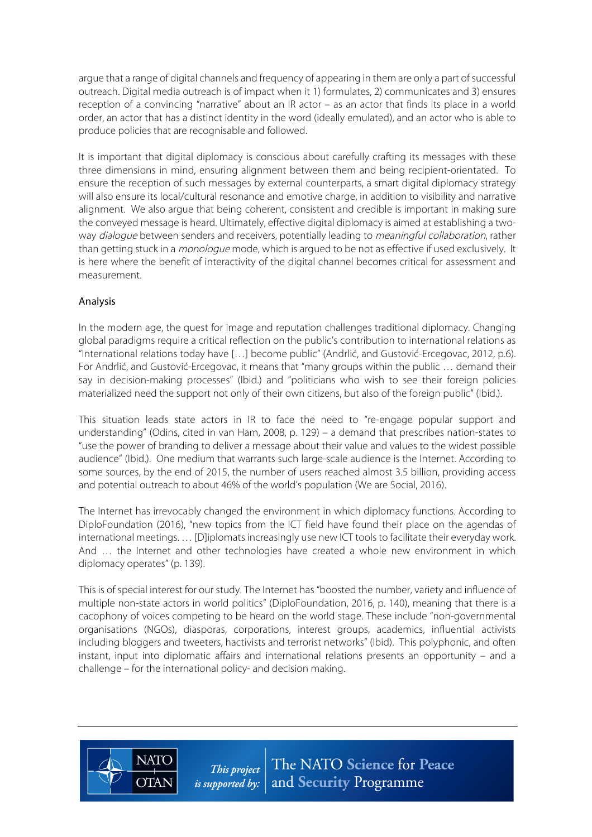argue that a range of digital channels and frequency of appearing in them are only a part of successful outreach. Digital media outreach is of impact when it 1) formulates, 2) communicates and 3) ensures reception of a convincing "narrative" about an IR actor – as an actor that finds its place in a world order, an actor that has a distinct identity in the word (ideally emulated), and an actor who is able to produce policies that are recognisable and followed.

It is important that digital diplomacy is conscious about carefully crafting its messages with these three dimensions in mind, ensuring alignment between them and being recipient-orientated. To ensure the reception of such messages by external counterparts, a smart digital diplomacy strategy will also ensure its local/cultural resonance and emotive charge, in addition to visibility and narrative alignment. We also argue that being coherent, consistent and credible is important in making sure the conveyed message is heard. Ultimately, effective digital diplomacy is aimed at establishing a twoway *dialoque* between senders and receivers, potentially leading to *meaningful collaboration*, rather than getting stuck in a *monologue* mode, which is argued to be not as effective if used exclusively. It is here where the benefit of interactivity of the digital channel becomes critical for assessment and measurement.

# Analysis

**NATC** 

**OTAN** 

In the modern age, the quest for image and reputation challenges traditional diplomacy. Changing global paradigms require a critical reflection on the public's contribution to international relations as "International relations today have […] become public" (Andrlić, and Gustović-Ercegovac, 2012, p.6). For Andrlić, and Gustović-Ercegovac, it means that "many groups within the public … demand their say in decision-making processes" (Ibid.) and "politicians who wish to see their foreign policies materialized need the support not only of their own citizens, but also of the foreign public" (Ibid.).

This situation leads state actors in IR to face the need to "re-engage popular support and understanding" (Odins, cited in van Ham, 2008, p. 129) – a demand that prescribes nation-states to "use the power of branding to deliver a message about their value and values to the widest possible audience" (Ibid.). One medium that warrants such large-scale audience is the Internet. According to some sources, by the end of 2015, the number of users reached almost 3.5 billion, providing access and potential outreach to about 46% of the world's population (We are Social, 2016).

The Internet has irrevocably changed the environment in which diplomacy functions. According to DiploFoundation (2016), "new topics from the ICT field have found their place on the agendas of international meetings. … [D]iplomats increasingly use new ICT tools to facilitate their everyday work. And … the Internet and other technologies have created a whole new environment in which diplomacy operates" (p. 139).

This is of special interest for our study. The Internet has "boosted the number, variety and influence of multiple non-state actors in world politics" (DiploFoundation, 2016, p. 140), meaning that there is a cacophony of voices competing to be heard on the world stage. These include "non-governmental organisations (NGOs), diasporas, corporations, interest groups, academics, influential activists including bloggers and tweeters, hactivists and terrorist networks" (Ibid). This polyphonic, and often instant, input into diplomatic affairs and international relations presents an opportunity – and a challenge – for the international policy- and decision making.

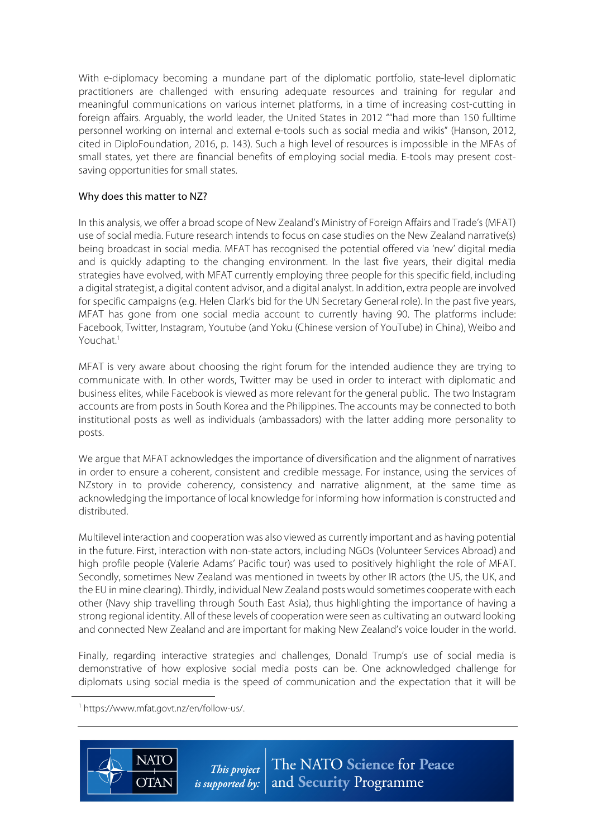With e-diplomacy becoming a mundane part of the diplomatic portfolio, state-level diplomatic practitioners are challenged with ensuring adequate resources and training for regular and meaningful communications on various internet platforms, in a time of increasing cost-cutting in foreign affairs. Arguably, the world leader, the United States in 2012 ""had more than 150 fulltime personnel working on internal and external e-tools such as social media and wikis" (Hanson, 2012, cited in DiploFoundation, 2016, p. 143). Such a high level of resources is impossible in the MFAs of small states, yet there are financial benefits of employing social media. E-tools may present costsaving opportunities for small states.

## Why does this matter to NZ?

In this analysis, we offer a broad scope of New Zealand's Ministry of Foreign Affairs and Trade's (MFAT) use of social media. Future research intends to focus on case studies on the New Zealand narrative(s) being broadcast in social media. MFAT has recognised the potential offered via 'new' digital media and is quickly adapting to the changing environment. In the last five years, their digital media strategies have evolved, with MFAT currently employing three people for this specific field, including a digital strategist, a digital content advisor, and a digital analyst. In addition, extra people are involved for specific campaigns (e.g. Helen Clark's bid for the UN Secretary General role). In the past five years, MFAT has gone from one social media account to currently having 90. The platforms include: Facebook, Twitter, Instagram, Youtube (and Yoku (Chinese version of YouTube) in China), Weibo and Youchat.<sup>1</sup>

MFAT is very aware about choosing the right forum for the intended audience they are trying to communicate with. In other words, Twitter may be used in order to interact with diplomatic and business elites, while Facebook is viewed as more relevant for the general public. The two Instagram accounts are from posts in South Korea and the Philippines. The accounts may be connected to both institutional posts as well as individuals (ambassadors) with the latter adding more personality to posts.

We argue that MFAT acknowledges the importance of diversification and the alignment of narratives in order to ensure a coherent, consistent and credible message. For instance, using the services of NZstory in to provide coherency, consistency and narrative alignment, at the same time as acknowledging the importance of local knowledge for informing how information is constructed and distributed.

Multilevel interaction and cooperation was also viewed as currently important and as having potential in the future. First, interaction with non-state actors, including NGOs (Volunteer Services Abroad) and high profile people (Valerie Adams' Pacific tour) was used to positively highlight the role of MFAT. Secondly, sometimes New Zealand was mentioned in tweets by other IR actors (the US, the UK, and the EU in mine clearing). Thirdly, individual New Zealand posts would sometimes cooperate with each other (Navy ship travelling through South East Asia), thus highlighting the importance of having a strong regional identity. All of these levels of cooperation were seen as cultivating an outward looking and connected New Zealand and are important for making New Zealand's voice louder in the world.

Finally, regarding interactive strategies and challenges, Donald Trump's use of social media is demonstrative of how explosive social media posts can be. One acknowledged challenge for diplomats using social media is the speed of communication and the expectation that it will be

<sup>1</sup> https://www.mfat.govt.nz/en/follow-us/.

 $\overline{a}$ 

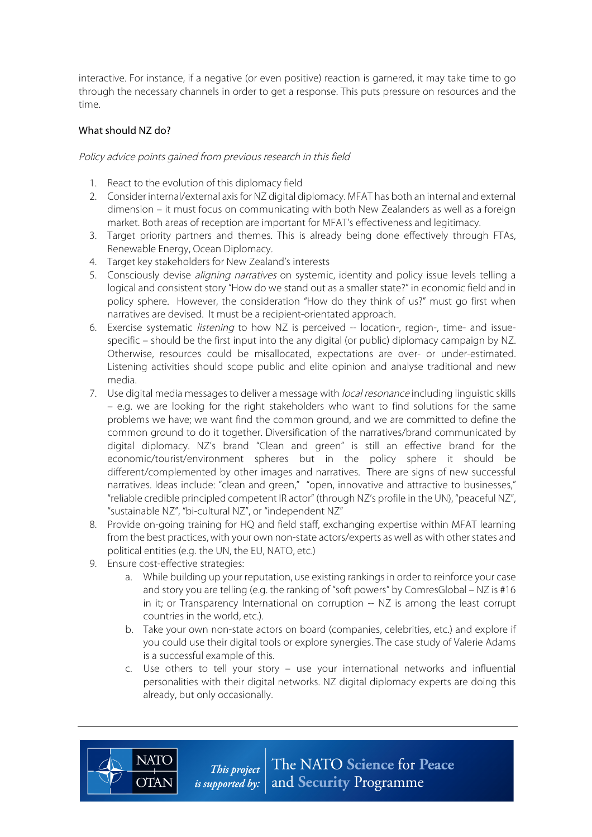interactive. For instance, if a negative (or even positive) reaction is garnered, it may take time to go through the necessary channels in order to get a response. This puts pressure on resources and the time.

# What should NZ do?

Policy advice points gained from previous research in this field

- 1. React to the evolution of this diplomacy field
- 2. Consider internal/external axis for NZ digital diplomacy. MFAT has both an internal and external dimension – it must focus on communicating with both New Zealanders as well as a foreign market. Both areas of reception are important for MFAT's effectiveness and legitimacy.
- 3. Target priority partners and themes. This is already being done effectively through FTAs, Renewable Energy, Ocean Diplomacy.
- 4. Target key stakeholders for New Zealand's interests
- 5. Consciously devise *aligning narratives* on systemic, identity and policy issue levels telling a logical and consistent story "How do we stand out as a smaller state?" in economic field and in policy sphere. However, the consideration "How do they think of us?" must go first when narratives are devised. It must be a recipient-orientated approach.
- 6. Exercise systematic listening to how NZ is perceived -- location-, region-, time- and issuespecific – should be the first input into the any digital (or public) diplomacy campaign by NZ. Otherwise, resources could be misallocated, expectations are over- or under-estimated. Listening activities should scope public and elite opinion and analyse traditional and new media.
- 7. Use digital media messages to deliver a message with *local resonance* including linguistic skills – e.g. we are looking for the right stakeholders who want to find solutions for the same problems we have; we want find the common ground, and we are committed to define the common ground to do it together. Diversification of the narratives/brand communicated by digital diplomacy. NZ's brand "Clean and green" is still an effective brand for the economic/tourist/environment spheres but in the policy sphere it should be different/complemented by other images and narratives. There are signs of new successful narratives. Ideas include: "clean and green," "open, innovative and attractive to businesses," "reliable credible principled competent IR actor" (through NZ's profile in the UN), "peaceful NZ", "sustainable NZ", "bi-cultural NZ", or "independent NZ"
- 8. Provide on-going training for HQ and field staff, exchanging expertise within MFAT learning from the best practices, with your own non-state actors/experts as well as with other states and political entities (e.g. the UN, the EU, NATO, etc.)
- 9. Ensure cost-effective strategies:

**NATO** 

**OTAN** 

- a. While building up your reputation, use existing rankings in order to reinforce your case and story you are telling (e.g. the ranking of "soft powers" by ComresGlobal – NZ is #16 in it; or Transparency International on corruption -- NZ is among the least corrupt countries in the world, etc.).
- b. Take your own non-state actors on board (companies, celebrities, etc.) and explore if you could use their digital tools or explore synergies. The case study of Valerie Adams is a successful example of this.
- c. Use others to tell your story use your international networks and influential personalities with their digital networks. NZ digital diplomacy experts are doing this already, but only occasionally.